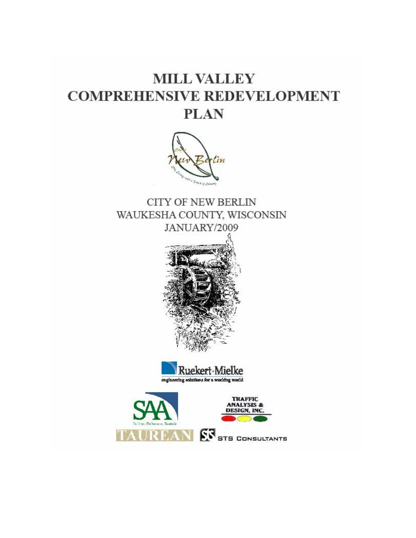# **MILL VALLEY COMPREHENSIVE REDEVELOPMENT PLAN**



**CITY OF NEW BERLIN** WAUKESHA COUNTY, WISCONSIN JANUARY/2009





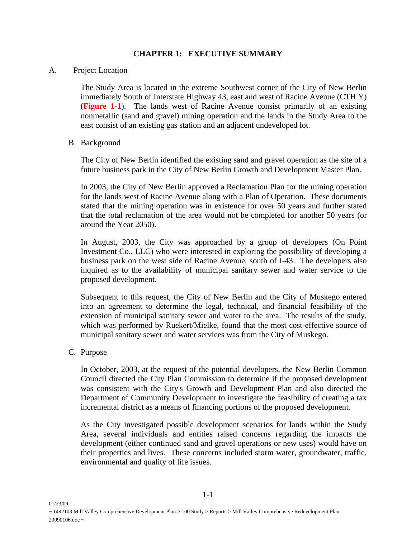# **CHAPTER 1: EXECUTIVE SUMMARY**

#### A. Project Location

The Study Area is located in the extreme Southwest corner of the City of New Berlin immediately South of Interstate Highway 43, east and west of Racine Avenue (CTH Y) (**Figure 1-1**). The lands west of Racine Avenue consist primarily of an existing nonmetallic (sand and gravel) mining operation and the lands in the Study Area to the east consist of an existing gas station and an adjacent undeveloped lot.

#### B. Background

The City of New Berlin identified the existing sand and gravel operation as the site of a future business park in the City of New Berlin Growth and Development Master Plan.

In 2003, the City of New Berlin approved a Reclamation Plan for the mining operation for the lands west of Racine Avenue along with a Plan of Operation. These documents stated that the mining operation was in existence for over 50 years and further stated that the total reclamation of the area would not be completed for another 50 years (or around the Year 2050).

In August, 2003, the City was approached by a group of developers (On Point Investment Co., LLC) who were interested in exploring the possibility of developing a business park on the west side of Racine Avenue, south of I-43. The developers also inquired as to the availability of municipal sanitary sewer and water service to the proposed development.

Subsequent to this request, the City of New Berlin and the City of Muskego entered into an agreement to determine the legal, technical, and financial feasibility of the extension of municipal sanitary sewer and water to the area. The results of the study, which was performed by Ruekert/Mielke, found that the most cost-effective source of municipal sanitary sewer and water services was from the City of Muskego.

## C. Purpose

01/23/09

In October, 2003, at the request of the potential developers, the New Berlin Common Council directed the City Plan Commission to determine if the proposed development was consistent with the City's Growth and Development Plan and also directed the Department of Community Development to investigate the feasibility of creating a tax incremental district as a means of financing portions of the proposed development.

As the City investigated possible development scenarios for lands within the Study Area, several individuals and entities raised concerns regarding the impacts the development (either continued sand and gravel operations or new uses) would have on their properties and lives. These concerns included storm water, groundwater, traffic, environmental and quality of life issues.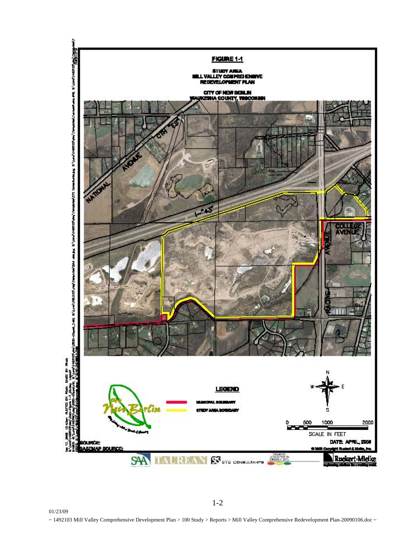

1-2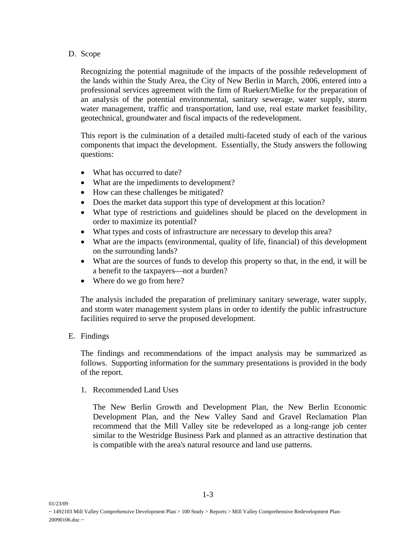### D. Scope

Recognizing the potential magnitude of the impacts of the possible redevelopment of the lands within the Study Area, the City of New Berlin in March, 2006, entered into a professional services agreement with the firm of Ruekert/Mielke for the preparation of an analysis of the potential environmental, sanitary sewerage, water supply, storm water management, traffic and transportation, land use, real estate market feasibility, geotechnical, groundwater and fiscal impacts of the redevelopment.

This report is the culmination of a detailed multi-faceted study of each of the various components that impact the development. Essentially, the Study answers the following questions:

- What has occurred to date?
- What are the impediments to development?
- How can these challenges be mitigated?
- Does the market data support this type of development at this location?
- What type of restrictions and guidelines should be placed on the development in order to maximize its potential?
- What types and costs of infrastructure are necessary to develop this area?
- What are the impacts (environmental, quality of life, financial) of this development on the surrounding lands?
- What are the sources of funds to develop this property so that, in the end, it will be a benefit to the taxpayers—not a burden?
- Where do we go from here?

The analysis included the preparation of preliminary sanitary sewerage, water supply, and storm water management system plans in order to identify the public infrastructure facilities required to serve the proposed development.

# E. Findings

01/23/09

The findings and recommendations of the impact analysis may be summarized as follows. Supporting information for the summary presentations is provided in the body of the report.

1. Recommended Land Uses

The New Berlin Growth and Development Plan, the New Berlin Economic Development Plan, and the New Valley Sand and Gravel Reclamation Plan recommend that the Mill Valley site be redeveloped as a long-range job center similar to the Westridge Business Park and planned as an attractive destination that is compatible with the area's natural resource and land use patterns.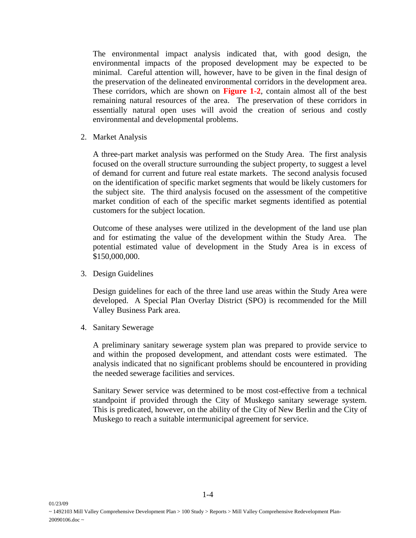The environmental impact analysis indicated that, with good design, the environmental impacts of the proposed development may be expected to be minimal. Careful attention will, however, have to be given in the final design of the preservation of the delineated environmental corridors in the development area. These corridors, which are shown on **Figure 1-2**, contain almost all of the best remaining natural resources of the area. The preservation of these corridors in essentially natural open uses will avoid the creation of serious and costly environmental and developmental problems.

2. Market Analysis

A three-part market analysis was performed on the Study Area. The first analysis focused on the overall structure surrounding the subject property, to suggest a level of demand for current and future real estate markets. The second analysis focused on the identification of specific market segments that would be likely customers for the subject site. The third analysis focused on the assessment of the competitive market condition of each of the specific market segments identified as potential customers for the subject location.

Outcome of these analyses were utilized in the development of the land use plan and for estimating the value of the development within the Study Area. The potential estimated value of development in the Study Area is in excess of \$150,000,000.

3. Design Guidelines

Design guidelines for each of the three land use areas within the Study Area were developed. A Special Plan Overlay District (SPO) is recommended for the Mill Valley Business Park area.

4. Sanitary Sewerage

01/23/09

A preliminary sanitary sewerage system plan was prepared to provide service to and within the proposed development, and attendant costs were estimated. The analysis indicated that no significant problems should be encountered in providing the needed sewerage facilities and services.

Sanitary Sewer service was determined to be most cost-effective from a technical standpoint if provided through the City of Muskego sanitary sewerage system. This is predicated, however, on the ability of the City of New Berlin and the City of Muskego to reach a suitable intermunicipal agreement for service.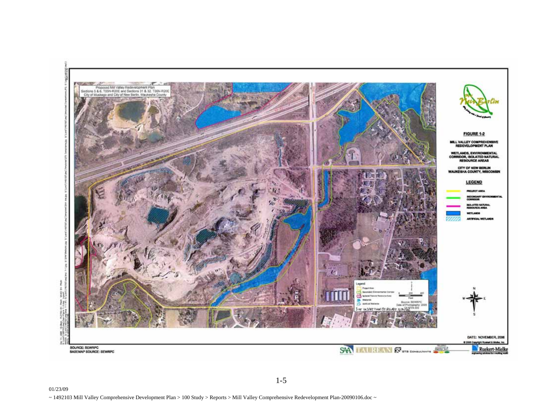

1-5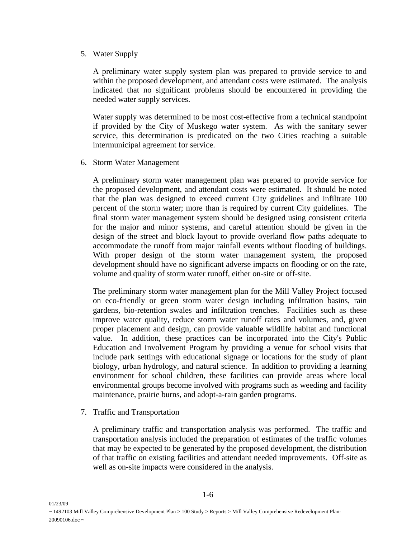## 5. Water Supply

A preliminary water supply system plan was prepared to provide service to and within the proposed development, and attendant costs were estimated. The analysis indicated that no significant problems should be encountered in providing the needed water supply services.

Water supply was determined to be most cost-effective from a technical standpoint if provided by the City of Muskego water system. As with the sanitary sewer service, this determination is predicated on the two Cities reaching a suitable intermunicipal agreement for service.

6. Storm Water Management

A preliminary storm water management plan was prepared to provide service for the proposed development, and attendant costs were estimated. It should be noted that the plan was designed to exceed current City guidelines and infiltrate 100 percent of the storm water; more than is required by current City guidelines. The final storm water management system should be designed using consistent criteria for the major and minor systems, and careful attention should be given in the design of the street and block layout to provide overland flow paths adequate to accommodate the runoff from major rainfall events without flooding of buildings. With proper design of the storm water management system, the proposed development should have no significant adverse impacts on flooding or on the rate, volume and quality of storm water runoff, either on-site or off-site.

The preliminary storm water management plan for the Mill Valley Project focused on eco-friendly or green storm water design including infiltration basins, rain gardens, bio-retention swales and infiltration trenches. Facilities such as these improve water quality, reduce storm water runoff rates and volumes, and, given proper placement and design, can provide valuable wildlife habitat and functional value. In addition, these practices can be incorporated into the City's Public Education and Involvement Program by providing a venue for school visits that include park settings with educational signage or locations for the study of plant biology, urban hydrology, and natural science. In addition to providing a learning environment for school children, these facilities can provide areas where local environmental groups become involved with programs such as weeding and facility maintenance, prairie burns, and adopt-a-rain garden programs.

7. Traffic and Transportation

01/23/09

A preliminary traffic and transportation analysis was performed. The traffic and transportation analysis included the preparation of estimates of the traffic volumes that may be expected to be generated by the proposed development, the distribution of that traffic on existing facilities and attendant needed improvements. Off-site as well as on-site impacts were considered in the analysis.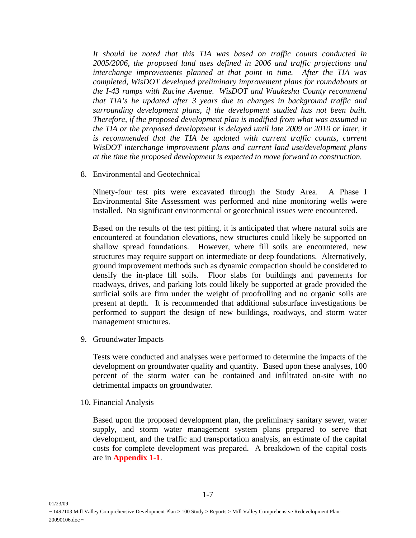*It should be noted that this TIA was based on traffic counts conducted in 2005/2006, the proposed land uses defined in 2006 and traffic projections and interchange improvements planned at that point in time. After the TIA was completed, WisDOT developed preliminary improvement plans for roundabouts at the I-43 ramps with Racine Avenue. WisDOT and Waukesha County recommend that TIA's be updated after 3 years due to changes in background traffic and surrounding development plans, if the development studied has not been built. Therefore, if the proposed development plan is modified from what was assumed in the TIA or the proposed development is delayed until late 2009 or 2010 or later, it*  is recommended that the TIA be updated with current traffic counts, current *WisDOT interchange improvement plans and current land use/development plans at the time the proposed development is expected to move forward to construction.* 

8. Environmental and Geotechnical

Ninety-four test pits were excavated through the Study Area. A Phase I Environmental Site Assessment was performed and nine monitoring wells were installed. No significant environmental or geotechnical issues were encountered.

Based on the results of the test pitting, it is anticipated that where natural soils are encountered at foundation elevations, new structures could likely be supported on shallow spread foundations. However, where fill soils are encountered, new structures may require support on intermediate or deep foundations. Alternatively, ground improvement methods such as dynamic compaction should be considered to densify the in-place fill soils. Floor slabs for buildings and pavements for roadways, drives, and parking lots could likely be supported at grade provided the surficial soils are firm under the weight of proofrolling and no organic soils are present at depth. It is recommended that additional subsurface investigations be performed to support the design of new buildings, roadways, and storm water management structures.

9. Groundwater Impacts

Tests were conducted and analyses were performed to determine the impacts of the development on groundwater quality and quantity. Based upon these analyses, 100 percent of the storm water can be contained and infiltrated on-site with no detrimental impacts on groundwater.

10. Financial Analysis

01/23/09

Based upon the proposed development plan, the preliminary sanitary sewer, water supply, and storm water management system plans prepared to serve that development, and the traffic and transportation analysis, an estimate of the capital costs for complete development was prepared. A breakdown of the capital costs are in **Appendix 1-1**.